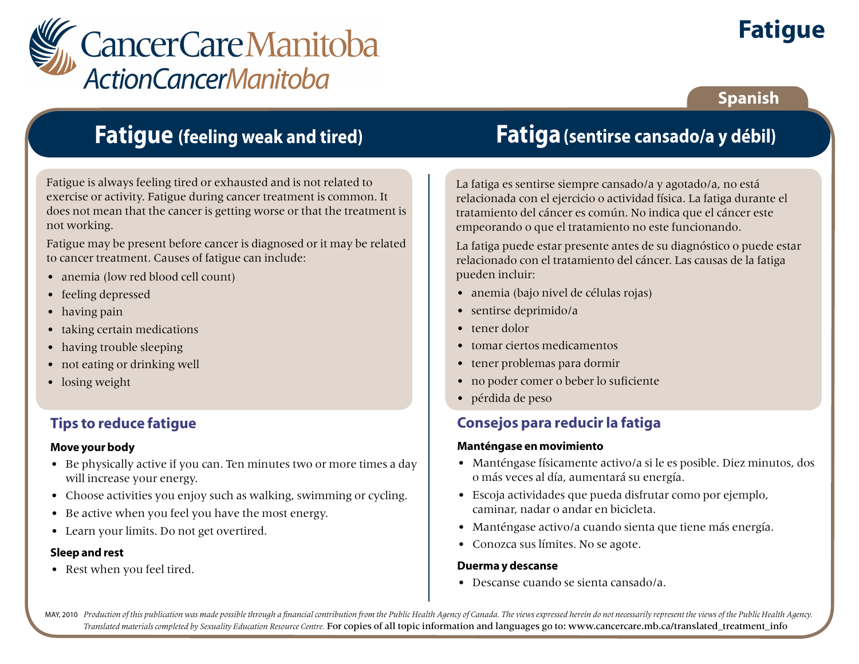

# **Fatigue**

### **Spanish**

## **Fatigue (feeling weak and tired)**

Fatigue is always feeling tired or exhausted and is not related to exercise or activity. Fatigue during cancer treatment is common. It does not mean that the cancer is getting worse or that the treatment is not working.

Fatigue may be present before cancer is diagnosed or it may be related to cancer treatment. Causes of fatigue can include:

- anemia (low red blood cell count)
- feeling depressed
- having pain
- taking certain medications
- having trouble sleeping
- not eating or drinking well
- losing weight

### **Tips to reduce fatigue**

#### **Move your body**

- Be physically active if you can. Ten minutes two or more times a day will increase your energy.
- Choose activities you enjoy such as walking, swimming or cycling.
- Be active when you feel you have the most energy.
- Learn your limits. Do not get overtired.

#### **Sleep and rest**

• Rest when you feel tired.

## **Fatiga(sentirse cansado/a y débil)**

La fatiga es sentirse siempre cansado/a y agotado/a, no está relacionada con el ejercicio o actividad física. La fatiga durante el tratamiento del cáncer es común. No indica que el cáncer este empeorando o que el tratamiento no este funcionando.

La fatiga puede estar presente antes de su diagnóstico o puede estar relacionado con el tratamiento del cáncer. Las causas de la fatiga pueden incluir:

- anemia (bajo nivel de células rojas)
- sentirse deprimido/a
- tener dolor
- tomar ciertos medicamentos
- tener problemas para dormir
- no poder comer o beber lo suficiente
- pérdida de peso

### **Consejos para reducir la fatiga**

#### **Manténgase en movimiento**

- Manténgase físicamente activo/a si le es posible. Diez minutos, dos o más veces al día, aumentará su energía.
- Escoja actividades que pueda disfrutar como por ejemplo, caminar, nadar o andar en bicicleta.
- Manténgase activo/a cuando sienta que tiene más energía.
- Conozca sus límites. No se agote.

#### **Duerma y descanse**

• Descanse cuando se sienta cansado/a.

MAY, 2010 Production of this publication was made possible through a financial contribution from the Public Health Agency of Canada. The views expressed herein do not necessarily represent the views of the Public Health Ag *Translated materials completed by Sexuality Education Resource Centre.* For copies of all topic information and languages go to: www.cancercare.mb.ca/translated\_treatment\_info